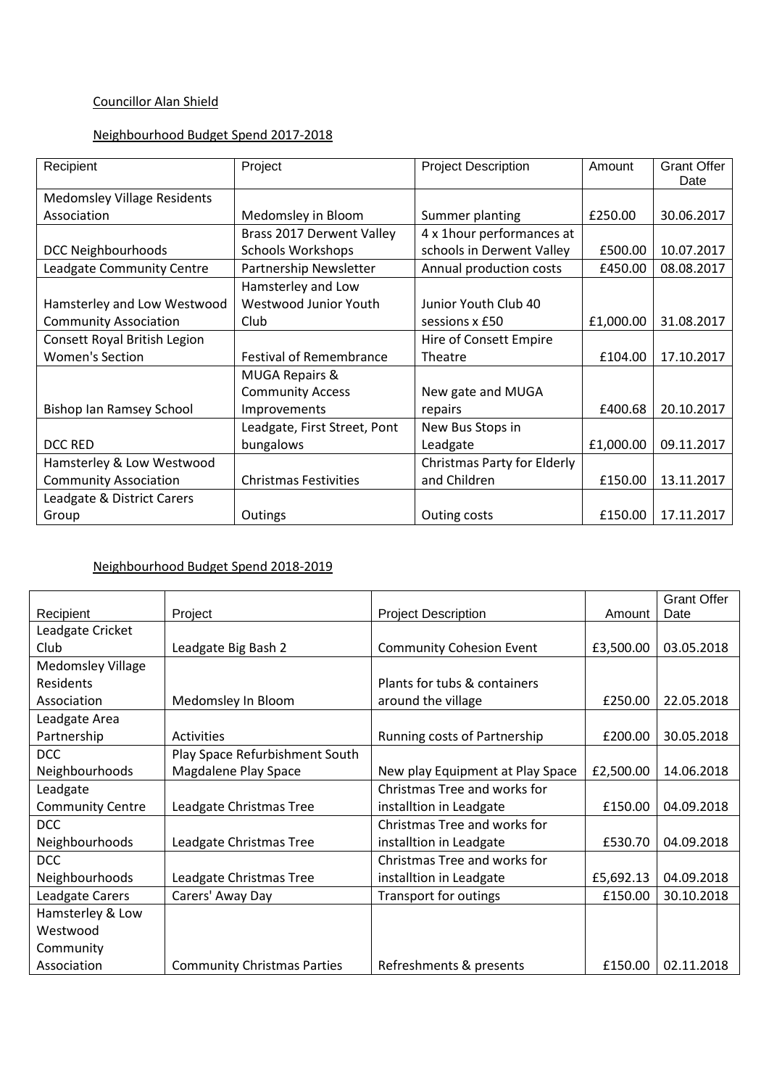## Councillor Alan Shield

### Neighbourhood Budget Spend 2017-2018

| Recipient                          | Project                        | <b>Project Description</b>         | Amount    | <b>Grant Offer</b><br>Date |
|------------------------------------|--------------------------------|------------------------------------|-----------|----------------------------|
| <b>Medomsley Village Residents</b> |                                |                                    |           |                            |
| Association                        | Medomsley in Bloom             | Summer planting                    | £250.00   | 30.06.2017                 |
|                                    | Brass 2017 Derwent Valley      | 4 x 1 hour performances at         |           |                            |
| <b>DCC Neighbourhoods</b>          | <b>Schools Workshops</b>       | schools in Derwent Valley          | £500.00   | 10.07.2017                 |
| Leadgate Community Centre          | Partnership Newsletter         | Annual production costs            | £450.00   | 08.08.2017                 |
|                                    | Hamsterley and Low             |                                    |           |                            |
| Hamsterley and Low Westwood        | Westwood Junior Youth          | Junior Youth Club 40               |           |                            |
| <b>Community Association</b>       | Club                           | sessions x £50                     | £1,000.00 | 31.08.2017                 |
| Consett Royal British Legion       |                                | Hire of Consett Empire             |           |                            |
| <b>Women's Section</b>             | <b>Festival of Remembrance</b> | Theatre                            | £104.00   | 17.10.2017                 |
|                                    | <b>MUGA Repairs &amp;</b>      |                                    |           |                            |
|                                    | <b>Community Access</b>        | New gate and MUGA                  |           |                            |
| <b>Bishop Ian Ramsey School</b>    | Improvements                   | repairs                            | £400.68   | 20.10.2017                 |
|                                    | Leadgate, First Street, Pont   | New Bus Stops in                   |           |                            |
| DCC RED                            | bungalows                      | Leadgate                           | £1,000.00 | 09.11.2017                 |
| Hamsterley & Low Westwood          |                                | <b>Christmas Party for Elderly</b> |           |                            |
| <b>Community Association</b>       | <b>Christmas Festivities</b>   | and Children                       | £150.00   | 13.11.2017                 |
| Leadgate & District Carers         |                                |                                    |           |                            |
| Group                              | Outings                        | Outing costs                       | £150.00   | 17.11.2017                 |

# Neighbourhood Budget Spend 2018-2019

|                          |                                    |                                  |           | <b>Grant Offer</b> |
|--------------------------|------------------------------------|----------------------------------|-----------|--------------------|
| Recipient                | Project                            | <b>Project Description</b>       | Amount    | Date               |
| Leadgate Cricket         |                                    |                                  |           |                    |
| Club                     | Leadgate Big Bash 2                | <b>Community Cohesion Event</b>  | £3,500.00 | 03.05.2018         |
| <b>Medomsley Village</b> |                                    |                                  |           |                    |
| Residents                |                                    | Plants for tubs & containers     |           |                    |
| Association              | Medomsley In Bloom                 | around the village               | £250.00   | 22.05.2018         |
| Leadgate Area            |                                    |                                  |           |                    |
| Partnership              | <b>Activities</b>                  | Running costs of Partnership     | £200.00   | 30.05.2018         |
| <b>DCC</b>               | Play Space Refurbishment South     |                                  |           |                    |
| Neighbourhoods           | Magdalene Play Space               | New play Equipment at Play Space | £2,500.00 | 14.06.2018         |
| Leadgate                 |                                    | Christmas Tree and works for     |           |                    |
| <b>Community Centre</b>  | Leadgate Christmas Tree            | installtion in Leadgate          | £150.00   | 04.09.2018         |
| <b>DCC</b>               |                                    | Christmas Tree and works for     |           |                    |
| Neighbourhoods           | Leadgate Christmas Tree            | installtion in Leadgate          | £530.70   | 04.09.2018         |
| <b>DCC</b>               |                                    | Christmas Tree and works for     |           |                    |
| Neighbourhoods           | Leadgate Christmas Tree            | installtion in Leadgate          | £5,692.13 | 04.09.2018         |
| Leadgate Carers          | Carers' Away Day                   | <b>Transport for outings</b>     | £150.00   | 30.10.2018         |
| Hamsterley & Low         |                                    |                                  |           |                    |
| Westwood                 |                                    |                                  |           |                    |
| Community                |                                    |                                  |           |                    |
| Association              | <b>Community Christmas Parties</b> | Refreshments & presents          | £150.00   | 02.11.2018         |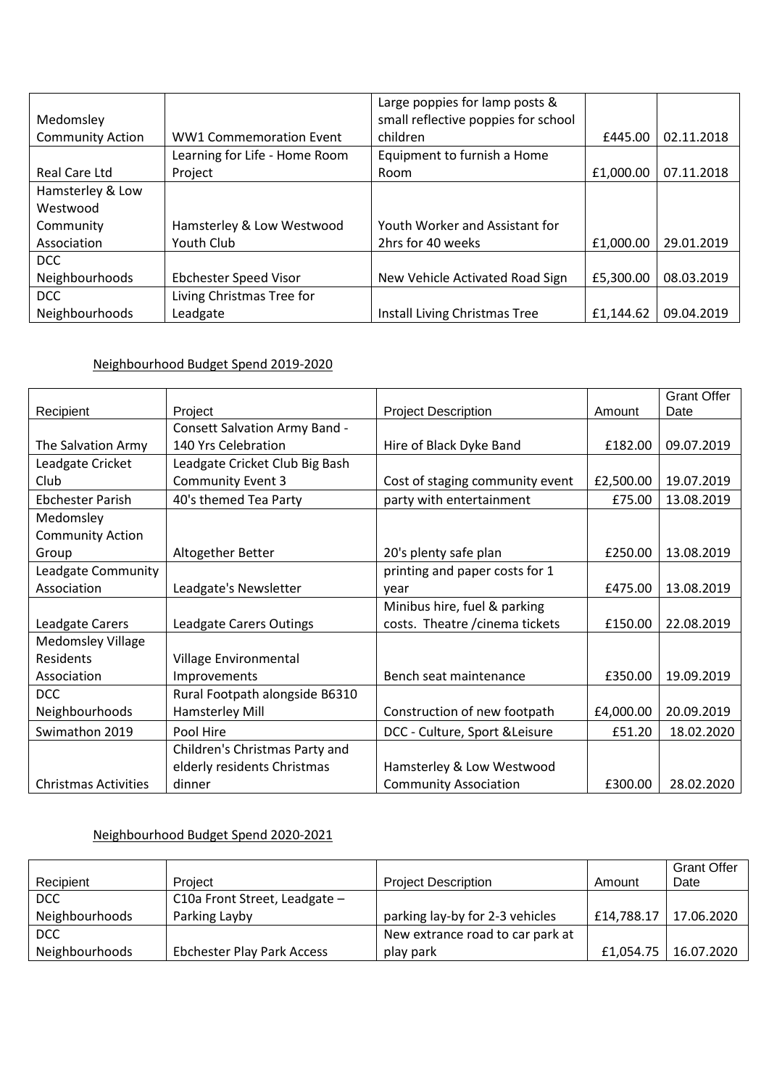|                         |                                | Large poppies for lamp posts &      |           |            |
|-------------------------|--------------------------------|-------------------------------------|-----------|------------|
| Medomsley               |                                | small reflective poppies for school |           |            |
| <b>Community Action</b> | <b>WW1 Commemoration Event</b> | children                            | £445.00   | 02.11.2018 |
|                         | Learning for Life - Home Room  | Equipment to furnish a Home         |           |            |
| Real Care Ltd           | Project                        | Room                                | £1,000.00 | 07.11.2018 |
| Hamsterley & Low        |                                |                                     |           |            |
| Westwood                |                                |                                     |           |            |
| Community               | Hamsterley & Low Westwood      | Youth Worker and Assistant for      |           |            |
| Association             | <b>Youth Club</b>              | 2hrs for 40 weeks                   | £1,000.00 | 29.01.2019 |
| <b>DCC</b>              |                                |                                     |           |            |
| Neighbourhoods          | <b>Ebchester Speed Visor</b>   | New Vehicle Activated Road Sign     | £5,300.00 | 08.03.2019 |
| <b>DCC</b>              | Living Christmas Tree for      |                                     |           |            |
| Neighbourhoods          | Leadgate                       | Install Living Christmas Tree       | £1,144.62 | 09.04.2019 |

### Neighbourhood Budget Spend 2019-2020

|                             |                                |                                 |           | <b>Grant Offer</b> |
|-----------------------------|--------------------------------|---------------------------------|-----------|--------------------|
| Recipient                   | Project                        | <b>Project Description</b>      | Amount    | Date               |
|                             | Consett Salvation Army Band -  |                                 |           |                    |
| The Salvation Army          | 140 Yrs Celebration            | Hire of Black Dyke Band         | £182.00   | 09.07.2019         |
| Leadgate Cricket            | Leadgate Cricket Club Big Bash |                                 |           |                    |
| Club                        | <b>Community Event 3</b>       | Cost of staging community event | £2,500.00 | 19.07.2019         |
| <b>Ebchester Parish</b>     | 40's themed Tea Party          | party with entertainment        | £75.00    | 13.08.2019         |
| Medomsley                   |                                |                                 |           |                    |
| <b>Community Action</b>     |                                |                                 |           |                    |
| Group                       | Altogether Better              | 20's plenty safe plan           | £250.00   | 13.08.2019         |
| Leadgate Community          |                                | printing and paper costs for 1  |           |                    |
| Association                 | Leadgate's Newsletter          | vear                            | £475.00   | 13.08.2019         |
|                             |                                | Minibus hire, fuel & parking    |           |                    |
| Leadgate Carers             | Leadgate Carers Outings        | costs. Theatre / cinema tickets | £150.00   | 22.08.2019         |
| <b>Medomsley Village</b>    |                                |                                 |           |                    |
| Residents                   | Village Environmental          |                                 |           |                    |
| Association                 | Improvements                   | Bench seat maintenance          | £350.00   | 19.09.2019         |
| <b>DCC</b>                  | Rural Footpath alongside B6310 |                                 |           |                    |
| Neighbourhoods              | Hamsterley Mill                | Construction of new footpath    | £4,000.00 | 20.09.2019         |
| Swimathon 2019              | Pool Hire                      | DCC - Culture, Sport & Leisure  | £51.20    | 18.02.2020         |
|                             | Children's Christmas Party and |                                 |           |                    |
|                             | elderly residents Christmas    | Hamsterley & Low Westwood       |           |                    |
| <b>Christmas Activities</b> | dinner                         | <b>Community Association</b>    | £300.00   | 28.02.2020         |

### Neighbourhood Budget Spend 2020-2021

|                |                                   |                                  |           | <b>Grant Offer</b>      |
|----------------|-----------------------------------|----------------------------------|-----------|-------------------------|
| Recipient      | Project                           | <b>Project Description</b>       | Amount    | Date                    |
| DCC            | C10a Front Street, Leadgate -     |                                  |           |                         |
| Neighbourhoods | Parking Layby                     | parking lay-by for 2-3 vehicles  |           | £14,788.17   17.06.2020 |
| DCC            |                                   | New extrance road to car park at |           |                         |
| Neighbourhoods | <b>Ebchester Play Park Access</b> | play park                        | £1,054.75 | 16.07.2020              |